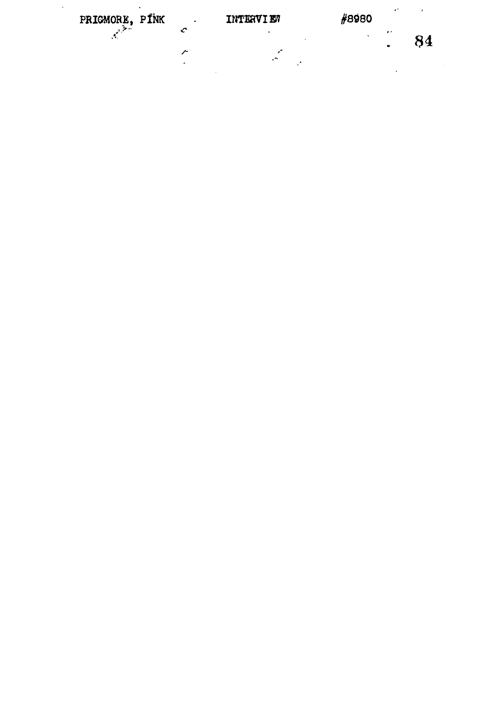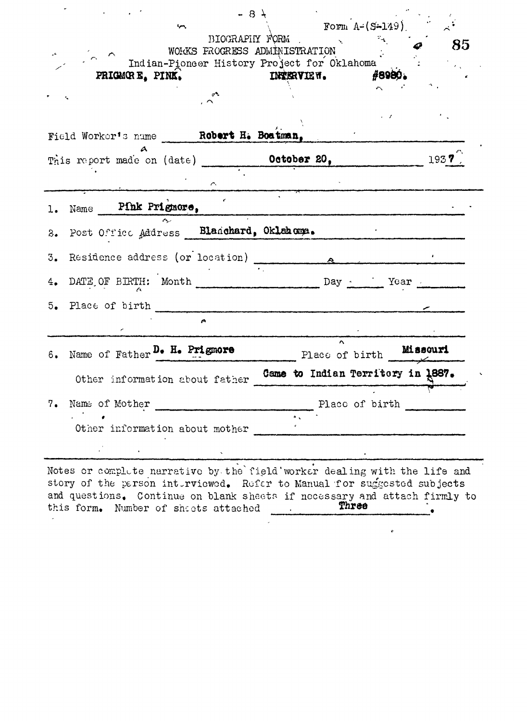| m.                                                                                                                                                   | $-84$                         |                                  | Form $A-(S-149)$                  |               |      |     |
|------------------------------------------------------------------------------------------------------------------------------------------------------|-------------------------------|----------------------------------|-----------------------------------|---------------|------|-----|
|                                                                                                                                                      | WORKS FROGRESS ADMINISTRATION | $\text{NIOGRAPHY}$ $\text{NORM}$ |                                   |               |      | -85 |
| Indian-Pioneer History Project for Oklahoma<br>PRIGMORE. PINK.                                                                                       |                               | <b>INTERVIEW.</b>                |                                   | <b>#8980.</b> |      |     |
|                                                                                                                                                      |                               |                                  |                                   |               |      |     |
| Field Worker's name Robert H. Boatman,                                                                                                               |                               |                                  |                                   |               |      |     |
| This report made on (date) 0ctober 20,                                                                                                               |                               |                                  |                                   |               | 1937 |     |
|                                                                                                                                                      | $\mathcal{L}_{\mathcal{N}}$   |                                  |                                   |               |      |     |
| 1. Name Pink Prignore,                                                                                                                               |                               |                                  |                                   |               |      |     |
| 2. Post Office Address Bladchard, Oklahoma.                                                                                                          |                               |                                  |                                   |               |      |     |
| 3. Residence address (or location)                                                                                                                   |                               |                                  |                                   |               |      |     |
| 4. DATE OF BIRTH: Month Day Day Year                                                                                                                 |                               |                                  |                                   |               |      |     |
| 5.                                                                                                                                                   |                               |                                  |                                   |               |      |     |
|                                                                                                                                                      | A                             |                                  |                                   |               |      |     |
| 6. Name of Father D. H. Prignore                                                                                                                     |                               |                                  | Place of birth Missouri           |               |      |     |
| Other information about father                                                                                                                       |                               |                                  | Came to Indian Territory in 1887. |               |      |     |
| Name of Mother<br>7.                                                                                                                                 |                               |                                  | Place of birth                    |               |      |     |
| Other information about mother                                                                                                                       |                               | $\bullet$ .                      |                                   |               |      |     |
|                                                                                                                                                      |                               |                                  |                                   |               |      |     |
| Notes or complete narrative by the field worker dealing with the life and<br>story of the region interviewed. Refer to Manual for succession injects |                               |                                  |                                   |               |      |     |

story of the person interviewed. Refer to Manual for suggested subjects and questions. Continue on blank sheets if necessary and attach firmly to this form. Number of sheets attached . **Three "**

 $\mathbf{e}^{\top}$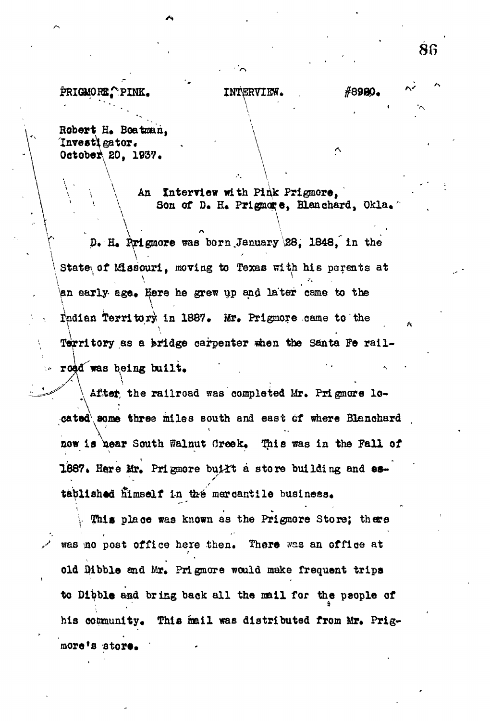## PRIGMORE! PINK.

 $\mathcal{L} \rightarrow \mathcal{L}$ 

more's store\*

INTERVIEW. #8980.

Robert H. Boatman. Investigator. October 20. 1937.

> An Interview with Pink Prigmore, Son of D. H. Prignore, Blanchard, Okla.'

(' *p»* H. Brigraore was born January \28<sup>t</sup> 1848, in the  $\overline{\mathbf{a}}$  $\sqrt{\frac{1}{\sqrt{1-\frac{1}{\sqrt{1-\frac{1}{\sqrt{1-\frac{1}{\sqrt{1-\frac{1}{\sqrt{1-\frac{1}{\sqrt{1-\frac{1}{\sqrt{1-\frac{1}{\sqrt{1-\frac{1}{\sqrt{1-\frac{1}{\sqrt{1-\frac{1}{\sqrt{1-\frac{1}{\sqrt{1-\frac{1}{\sqrt{1-\frac{1}{\sqrt{1-\frac{1}{\sqrt{1-\frac{1}{\sqrt{1-\frac{1}{\sqrt{1-\frac{1}{\sqrt{1-\frac{1}{\sqrt{1-\frac{1}{\sqrt{1-\frac{1}{\sqrt{1-\frac{1}{\sqrt{1-\frac{1}{\sqrt{1-\frac{1}{\sqrt{1-\frac$ an early age. Here he grew up and later came to the  $\Gamma$ ndian Territory in 1887. Mr. Prigmore came to the Territory as a bridge carpenter when the Santa Fe railroad was being built.

. The contract of the contract of the contract of the contract of the contract of the contract of the contract of the contract of the contract of the contract of the contract of the contract of the contract of the contrac

After the railroad was completed Mr. Prignore located some three miles south and east of where Blanchard now is hear South Walnut Creek. This was in the Fall of 1887. Here Mr. Prigmore built a store building and established himself in the mercantile business.

This place was known as the Prignore Store; there was no post office here then. There was an office at old Dibble and Mr. Prignore would make frequent trips to Dibble and bring back all the mail for the people of his community. This mail was distributed from Mr. Prigmore's store.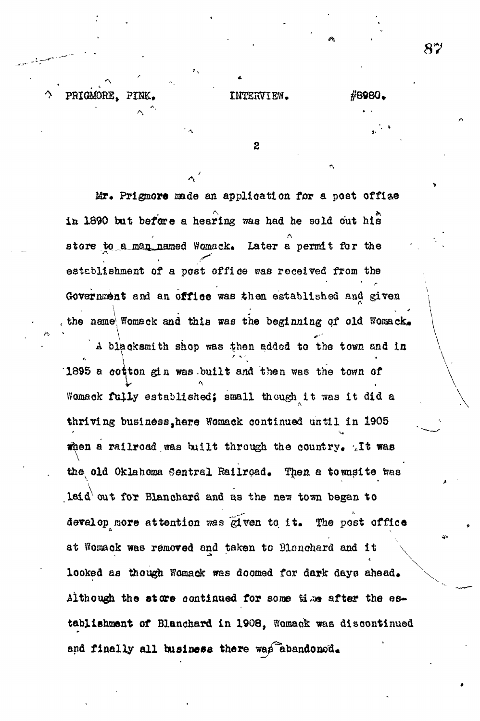PRIGMORE. PINK

INTERVIEW.

 $\overline{2}$ 

Mr. Prigmore made an application for a post office in 1890 but before a hearing was had he sold out his store to a man named Womack. Later a permit for the establishment of a post office was received from the Government and an office was then established and given the name womack and this was the beginning of old Womack. A blacksmith shop was then added to the town and in 1895 a cotton gin was built and then was the town of

Womack fully established; small though it was it did a thriving business, here Womack continued until in 1905 when a railroad was built through the country. At was the old Oklahoma Sentral Railroad. Then a townsite was laid out for Blanchard and as the new town began to develop more attention was given to it. The post office at Womack was removed and taken to Blanchard and it looked as though Womack was doomed for dark days ahead. Although the store continued for some time after the establishment of Blanchard in 1908, Womack was discontinued and finally all business there was abandonod.

87

#8980.